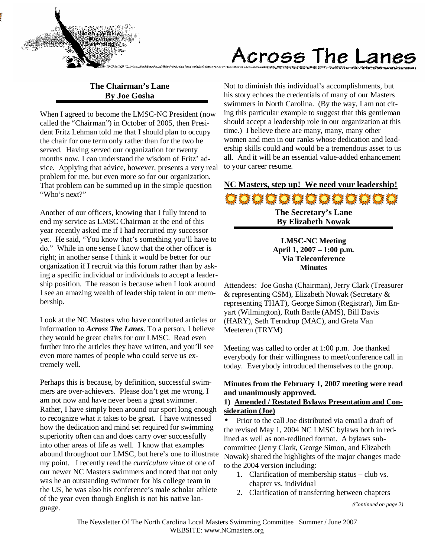

# Across The Lanes

# **The Chairman's Lane By Joe Gosha**

When I agreed to become the LMSC-NC President (now called the "Chairman") in October of 2005, then President Fritz Lehman told me that I should plan to occupy the chair for one term only rather than for the two he served. Having served our organization for twenty months now, I can understand the wisdom of Fritz' advice. Applying that advice, however, presents a very real problem for me, but even more so for our organization. That problem can be summed up in the simple question "Who's next?"

Another of our officers, knowing that I fully intend to end my service as LMSC Chairman at the end of this year recently asked me if I had recruited my successor yet. He said, "You know that's something you'll have to do." While in one sense I know that the other officer is right; in another sense I think it would be better for our organization if I recruit via this forum rather than by asking a specific individual or individuals to accept a leadership position. The reason is because when I look around I see an amazing wealth of leadership talent in our membership.

Look at the NC Masters who have contributed articles or information to *Across The Lanes*. To a person, I believe they would be great chairs for our LMSC. Read even further into the articles they have written, and you'll see even more names of people who could serve us extremely well.

Perhaps this is because, by definition, successful swimmers are over-achievers. Please don't get me wrong, I am not now and have never been a great swimmer. Rather, I have simply been around our sport long enough to recognize what it takes to be great. I have witnessed how the dedication and mind set required for swimming superiority often can and does carry over successfully into other areas of life as well. I know that examples abound throughout our LMSC, but here's one to illustrate my point. I recently read the *curriculum vitae* of one of our newer NC Masters swimmers and noted that not only was he an outstanding swimmer for his college team in the US, he was also his conference's male scholar athlete of the year even though English is not his native language.

Not to diminish this individual's accomplishments, but his story echoes the credentials of many of our Masters swimmers in North Carolina. (By the way, I am not citing this particular example to suggest that this gentleman should accept a leadership role in our organization at this time.) I believe there are many, many, many other women and men in our ranks whose dedication and leadership skills could and would be a tremendous asset to us all. And it will be an essential value-added enhancement to your career resume.

**NC Masters, step up! We need your leadership!** 00000000000000 **The Secretary's Lane By Elizabeth Nowak** 

> **LMSC-NC Meeting April 1, 2007 – 1:00 p.m. Via Teleconference Minutes**

Attendees: Joe Gosha (Chairman), Jerry Clark (Treasurer & representing CSM), Elizabeth Nowak (Secretary & representing THAT), George Simon (Registrar), Jim Enyart (Wilmington), Ruth Battle (AMS), Bill Davis (HARY), Seth Terndrup (MAC), and Greta Van Meeteren (TRYM)

Meeting was called to order at 1:00 p.m. Joe thanked everybody for their willingness to meet/conference call in today. Everybody introduced themselves to the group.

## **Minutes from the February 1, 2007 meeting were read and unanimously approved.**

## **1) Amended / Restated Bylaws Presentation and Consideration (Joe)**

• Prior to the call Joe distributed via email a draft of the revised May 1, 2004 NC LMSC bylaws both in redlined as well as non-redlined format. A bylaws subcommittee (Jerry Clark, George Simon, and Elizabeth Nowak) shared the highlights of the major changes made to the 2004 version including:

- 1. Clarification of membership status club vs. chapter vs. individual
- 2. Clarification of transferring between chapters

*<sup>(</sup>Continued on page 2)*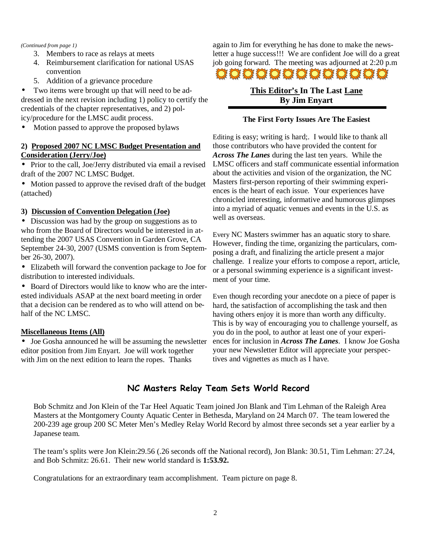#### *(Continued from page 1)*

- 3. Members to race as relays at meets
- 4. Reimbursement clarification for national USAS convention
- 5. Addition of a grievance procedure

Two items were brought up that will need to be addressed in the next revision including 1) policy to certify the credentials of the chapter representatives, and 2) policy/procedure for the LMSC audit process.

• Motion passed to approve the proposed bylaws

## **2) Proposed 2007 NC LMSC Budget Presentation and Consideration (Jerry/Joe)**

- Prior to the call, Joe/Jerry distributed via email a revised draft of the 2007 NC LMSC Budget.
- Motion passed to approve the revised draft of the budget (attached)

## **3) Discussion of Convention Delegation (Joe)**

• Discussion was had by the group on suggestions as to who from the Board of Directors would be interested in attending the 2007 USAS Convention in Garden Grove, CA September 24-30, 2007 (USMS convention is from September 26-30, 2007).

• Elizabeth will forward the convention package to Joe for distribution to interested individuals.

• Board of Directors would like to know who are the interested individuals ASAP at the next board meeting in order that a decision can be rendered as to who will attend on behalf of the NC LMSC.

## **Miscellaneous Items (All)**

• Joe Gosha announced he will be assuming the newsletter editor position from Jim Enyart. Joe will work together with Jim on the next edition to learn the ropes. Thanks

again to Jim for everything he has done to make the newsletter a huge success!!! We are confident Joe will do a great job going forward. The meeting was adjourned at 2:20 p.m **OOOOOOOOOOOOO** 

# **This Editor's In The Last Lane By Jim Enyart**

## **The First Forty Issues Are The Easiest**

Editing is easy; writing is hard;. I would like to thank all those contributors who have provided the content for *Across The Lanes* during the last ten years. While the LMSC officers and staff communicate essential information about the activities and vision of the organization, the NC Masters first-person reporting of their swimming experiences is the heart of each issue. Your experiences have chronicled interesting, informative and humorous glimpses into a myriad of aquatic venues and events in the U.S. as well as overseas.

Every NC Masters swimmer has an aquatic story to share. However, finding the time, organizing the particulars, composing a draft, and finalizing the article present a major challenge. I realize your efforts to compose a report, article, or a personal swimming experience is a significant investment of your time.

Even though recording your anecdote on a piece of paper is hard, the satisfaction of accomplishing the task and then having others enjoy it is more than worth any difficulty. This is by way of encouraging you to challenge yourself, as you do in the pool, to author at least one of your experiences for inclusion in *Across The Lanes*.I know Joe Gosha your new Newsletter Editor will appreciate your perspectives and vignettes as much as I have.

# NC Masters Relay Team Sets World Record

Bob Schmitz and Jon Klein of the Tar Heel Aquatic Team joined Jon Blank and Tim Lehman of the Raleigh Area Masters at the Montgomery County Aquatic Center in Bethesda, Maryland on 24 March 07. The team lowered the 200-239 age group 200 SC Meter Men's Medley Relay World Record by almost three seconds set a year earlier by a Japanese team.

The team's splits were Jon Klein:29.56 (.26 seconds off the National record), Jon Blank: 30.51, Tim Lehman: 27.24, and Bob Schmitz: 26.61. Their new world standard is **1:53.92.** 

Congratulations for an extraordinary team accomplishment. Team picture on page 8.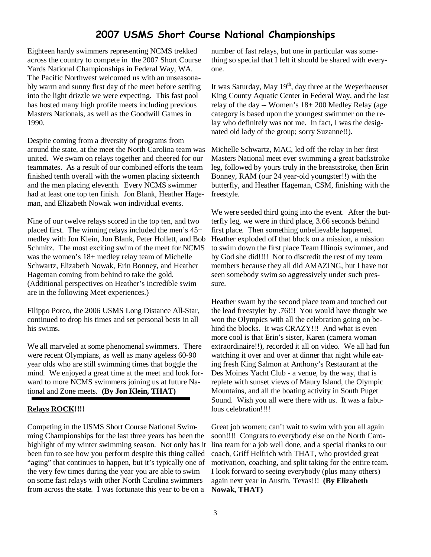# 2007 USMS Short Course National Championships

Eighteen hardy swimmers representing NCMS trekked across the country to compete in the 2007 Short Course Yards National Championships in Federal Way, WA. The Pacific Northwest welcomed us with an unseasonably warm and sunny first day of the meet before settling into the light drizzle we were expecting. This fast pool has hosted many high profile meets including previous Masters Nationals, as well as the Goodwill Games in 1990.

Despite coming from a diversity of programs from around the state, at the meet the North Carolina team was united. We swam on relays together and cheered for our teammates. As a result of our combined efforts the team finished tenth overall with the women placing sixteenth and the men placing eleventh. Every NCMS swimmer had at least one top ten finish. Jon Blank, Heather Hageman, and Elizabeth Nowak won individual events.

Nine of our twelve relays scored in the top ten, and two placed first. The winning relays included the men's 45+ medley with Jon Klein, Jon Blank, Peter Hollett, and Bob Schmitz. The most exciting swim of the meet for NCMS was the women's 18+ medley relay team of Michelle Schwartz, Elizabeth Nowak, Erin Bonney, and Heather Hageman coming from behind to take the gold. (Additional perspectives on Heather's incredible swim are in the following Meet experiences.)

Filippo Porco, the 2006 USMS Long Distance All-Star, continued to drop his times and set personal bests in all his swims.

We all marveled at some phenomenal swimmers. There were recent Olympians, as well as many ageless 60-90 year olds who are still swimming times that boggle the mind. We enjoyed a great time at the meet and look forward to more NCMS swimmers joining us at future National and Zone meets. **(By Jon Klein, THAT)** 

#### **Relays ROCK!!!!**

Competing in the USMS Short Course National Swimming Championships for the last three years has been the highlight of my winter swimming season. Not only has it been fun to see how you perform despite this thing called "aging" that continues to happen, but it's typically one of the very few times during the year you are able to swim on some fast relays with other North Carolina swimmers from across the state. I was fortunate this year to be on a

number of fast relays, but one in particular was something so special that I felt it should be shared with everyone.

It was Saturday, May  $19<sup>th</sup>$ , day three at the Weyerhaeuser King County Aquatic Center in Federal Way, and the last relay of the day -- Women's 18+ 200 Medley Relay (age category is based upon the youngest swimmer on the relay who definitely was not me. In fact, I was the designated old lady of the group; sorry Suzanne!!).

Michelle Schwartz, MAC, led off the relay in her first Masters National meet ever swimming a great backstroke leg, followed by yours truly in the breaststroke, then Erin Bonney, RAM (our 24 year-old youngster!!) with the butterfly, and Heather Hageman, CSM, finishing with the freestyle.

We were seeded third going into the event. After the butterfly leg, we were in third place, 3.66 seconds behind first place. Then something unbelievable happened. Heather exploded off that block on a mission, a mission to swim down the first place Team Illinois swimmer, and by God she did!!!! Not to discredit the rest of my team members because they all did AMAZING, but I have not seen somebody swim so aggressively under such pressure.

Heather swam by the second place team and touched out the lead freestyler by .76!!! You would have thought we won the Olympics with all the celebration going on behind the blocks. It was CRAZY!!! And what is even more cool is that Erin's sister, Karen (camera woman extraordinaire!!), recorded it all on video. We all had fun watching it over and over at dinner that night while eating fresh King Salmon at Anthony's Restaurant at the Des Moines Yacht Club - a venue, by the way, that is replete with sunset views of Maury Island, the Olympic Mountains, and all the boating activity in South Puget Sound. Wish you all were there with us. It was a fabulous celebration!!!!

Great job women; can't wait to swim with you all again soon!!!! Congrats to everybody else on the North Carolina team for a job well done, and a special thanks to our coach, Griff Helfrich with THAT, who provided great motivation, coaching, and split taking for the entire team. I look forward to seeing everybody (plus many others) again next year in Austin, Texas!!! **(By Elizabeth Nowak, THAT)**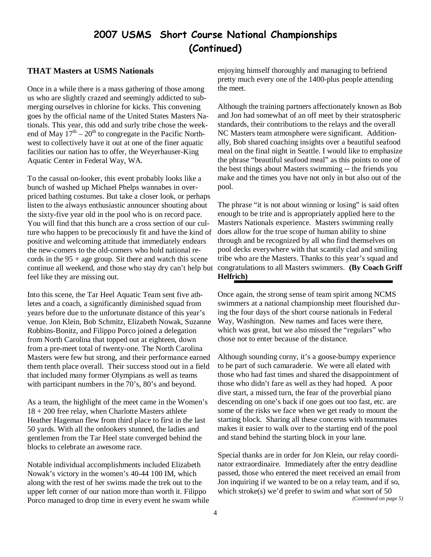# 2007 USMS Short Course National Championships (Continued)

#### **THAT Masters at USMS Nationals**

Once in a while there is a mass gathering of those among us who are slightly crazed and seemingly addicted to submerging ourselves in chlorine for kicks. This convening goes by the official name of the United States Masters Nationals. This year, this odd and surly tribe chose the weekend of May  $17<sup>th</sup> - 20<sup>th</sup>$  to congregate in the Pacific Northwest to collectively have it out at one of the finer aquatic facilities our nation has to offer, the Weyerhauser-King Aquatic Center in Federal Way, WA.

To the casual on-looker, this event probably looks like a bunch of washed up Michael Phelps wannabes in overpriced bathing costumes. But take a closer look, or perhaps listen to the always enthusiastic announcer shouting about the sixty-five year old in the pool who is on record pace. You will find that this bunch are a cross section of our culture who happen to be precociously fit and have the kind of positive and welcoming attitude that immediately endears the new-comers to the old-comers who hold national records in the  $95 + age$  group. Sit there and watch this scene continue all weekend, and those who stay dry can't help but feel like they are missing out.

Into this scene, the Tar Heel Aquatic Team sent five athletes and a coach, a significantly diminished squad from years before due to the unfortunate distance of this year's venue. Jon Klein, Bob Schmitz, Elizabeth Nowak, Suzanne Robbins-Bonitz, and Filippo Porco joined a delegation from North Carolina that topped out at eighteen, down from a pre-meet total of twenty-one. The North Carolina Masters were few but strong, and their performance earned them tenth place overall. Their success stood out in a field that included many former Olympians as well as teams with participant numbers in the 70's, 80's and beyond.

As a team, the highlight of the meet came in the Women's 18 + 200 free relay, when Charlotte Masters athlete Heather Hageman flew from third place to first in the last 50 yards. With all the onlookers stunned, the ladies and gentlemen from the Tar Heel state converged behind the blocks to celebrate an awesome race.

Notable individual accomplishments included Elizabeth Nowak's victory in the women's 40-44 100 IM, which along with the rest of her swims made the trek out to the upper left corner of our nation more than worth it. Filippo Porco managed to drop time in every event he swam while enjoying himself thoroughly and managing to befriend pretty much every one of the 1400-plus people attending the meet.

Although the training partners affectionately known as Bob and Jon had somewhat of an off meet by their stratospheric standards, their contributions to the relays and the overall NC Masters team atmosphere were significant. Additionally, Bob shared coaching insights over a beautiful seafood meal on the final night in Seattle. I would like to emphasize the phrase "beautiful seafood meal" as this points to one of the best things about Masters swimming -- the friends you make and the times you have not only in but also out of the pool.

The phrase "it is not about winning or losing" is said often enough to be trite and is appropriately applied here to the Masters Nationals experience. Masters swimming really does allow for the true scope of human ability to shine through and be recognized by all who find themselves on pool decks everywhere with that scantily clad and smiling tribe who are the Masters. Thanks to this year's squad and congratulations to all Masters swimmers. **(By Coach Griff Helfrich)** 

Once again, the strong sense of team spirit among NCMS swimmers at a national championship meet flourished during the four days of the short course nationals in Federal Way, Washington. New names and faces were there, which was great, but we also missed the "regulars" who chose not to enter because of the distance.

Although sounding corny, it's a goose-bumpy experience to be part of such camaraderie. We were all elated with those who had fast times and shared the disappointment of those who didn't fare as well as they had hoped. A poor dive start, a missed turn, the fear of the proverbial piano descending on one's back if one goes out too fast, etc. are some of the risks we face when we get ready to mount the starting block. Sharing all these concerns with teammates makes it easier to walk over to the starting end of the pool and stand behind the starting block in your lane.

Special thanks are in order for Jon Klein, our relay coordinator extraordinaire. Immediately after the entry deadline passed, those who entered the meet received an email from Jon inquiring if we wanted to be on a relay team, and if so, which stroke(s) we'd prefer to swim and what sort of 50 *(Continued on page 5)*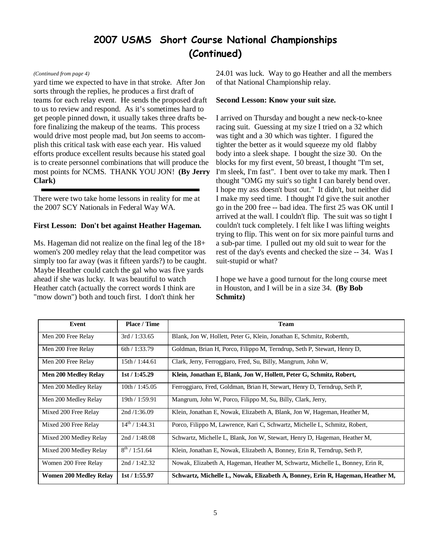# 2007 USMS Short Course National Championships (Continued)

#### *(Continued from page 4)*

yard time we expected to have in that stroke. After Jon sorts through the replies, he produces a first draft of teams for each relay event. He sends the proposed draft to us to review and respond. As it's sometimes hard to get people pinned down, it usually takes three drafts before finalizing the makeup of the teams. This process would drive most people mad, but Jon seems to accomplish this critical task with ease each year. His valued efforts produce excellent results because his stated goal is to create personnel combinations that will produce the most points for NCMS. THANK YOU JON! **(By Jerry Clark)** 

There were two take home lessons in reality for me at the 2007 SCY Nationals in Federal Way WA.

#### **First Lesson: Don't bet against Heather Hageman.**

Ms. Hageman did not realize on the final leg of the 18+ women's 200 medley relay that the lead competitor was simply too far away (was it fifteen yards?) to be caught. Maybe Heather could catch the gal who was five yards ahead if she was lucky. It was beautiful to watch Heather catch (actually the correct words I think are "mow down") both and touch first. I don't think her

24.01 was luck. Way to go Heather and all the members of that National Championship relay.

#### **Second Lesson: Know your suit size.**

I arrived on Thursday and bought a new neck-to-knee racing suit. Guessing at my size I tried on a 32 which was tight and a 30 which was tighter. I figured the tighter the better as it would squeeze my old flabby body into a sleek shape. I bought the size 30. On the blocks for my first event, 50 breast, I thought "I'm set, I'm sleek, I'm fast". I bent over to take my mark. Then I thought "OMG my suit's so tight I can barely bend over. I hope my ass doesn't bust out." It didn't, but neither did I make my seed time. I thought I'd give the suit another go in the 200 free -- bad idea. The first 25 was OK until I arrived at the wall. I couldn't flip. The suit was so tight I couldn't tuck completely. I felt like I was lifting weights trying to flip. This went on for six more painful turns and a sub-par time. I pulled out my old suit to wear for the rest of the day's events and checked the size -- 34. Was I suit-stupid or what?

I hope we have a good turnout for the long course meet in Houston, and I will be in a size 34. **(By Bob Schmitz)**

| Event                         | Place / Time        | <b>Team</b>                                                                   |  |
|-------------------------------|---------------------|-------------------------------------------------------------------------------|--|
| Men 200 Free Relay            | 3rd/1:33.65         | Blank, Jon W, Hollett, Peter G, Klein, Jonathan E, Schmitz, Robertth,         |  |
| Men 200 Free Relay            | 6th/1:33.79         | Goldman, Brian H, Porco, Filippo M, Terndrup, Seth P, Stewart, Henry D,       |  |
| Men 200 Free Relay            | 15th / 1:44.61      | Clark, Jerry, Ferroggiaro, Fred, Su, Billy, Mangrum, John W,                  |  |
| <b>Men 200 Medley Relay</b>   | 1st/1:45.29         | Klein, Jonathan E, Blank, Jon W, Hollett, Peter G, Schmitz, Robert,           |  |
| Men 200 Medley Relay          | 10th/1:45.05        | Ferroggiaro, Fred, Goldman, Brian H, Stewart, Henry D, Terndrup, Seth P,      |  |
| Men 200 Medley Relay          | 19th / 1:59.91      | Mangrum, John W, Porco, Filippo M, Su, Billy, Clark, Jerry,                   |  |
| Mixed 200 Free Relay          | 2nd/1:36.09         | Klein, Jonathan E, Nowak, Elizabeth A, Blank, Jon W, Hageman, Heather M,      |  |
| Mixed 200 Free Relay          | $14^{th}$ / 1:44.31 | Porco, Filippo M, Lawrence, Kari C, Schwartz, Michelle L, Schmitz, Robert,    |  |
| Mixed 200 Medley Relay        | 2nd / 1:48.08       | Schwartz, Michelle L, Blank, Jon W, Stewart, Henry D, Hageman, Heather M,     |  |
| Mixed 200 Medley Relay        | $8^{th}$ / 1:51.64  | Klein, Jonathan E, Nowak, Elizabeth A, Bonney, Erin R, Terndrup, Seth P,      |  |
| Women 200 Free Relay          | 2nd / 1:42.32       | Nowak, Elizabeth A, Hageman, Heather M, Schwartz, Michelle L, Bonney, Erin R, |  |
| <b>Women 200 Medley Relay</b> | 1st/1:55.97         | Schwartz, Michelle L, Nowak, Elizabeth A, Bonney, Erin R, Hageman, Heather M, |  |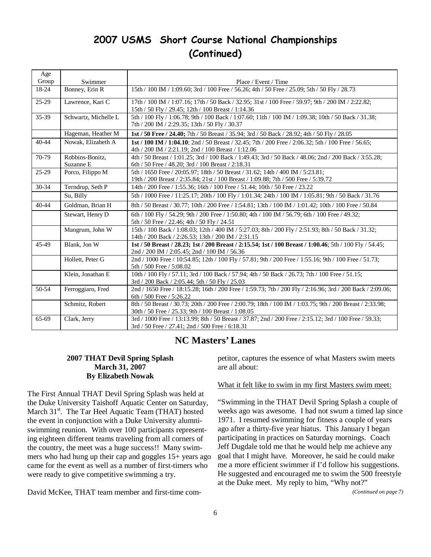# 2007 USMS Short Course National Championships (Continued)

| Age       |                              |                                                                                                                                                                      |
|-----------|------------------------------|----------------------------------------------------------------------------------------------------------------------------------------------------------------------|
| Group     | Swimmer                      | Place / Event / Time                                                                                                                                                 |
| 18-24     | Bonney, Erin R               | 15th / 100 IM / 1:09.60; 3rd / 100 Free / 56.26; 4th / 50 Free / 25.09; 5th / 50 Fly / 28.73                                                                         |
| $25-29$   | Lawrence, Kari C             | 17th / 100 IM / 1:07.16; 17th / 50 Back / 32.95; 31st / 100 Free / 59.97; 9th / 200 IM / 2:22.82;<br>15th / 50 Fly / 29.45; 12th / 100 Breast / 1:14.36              |
| 35-39     | Schwartz, Michelle L         | 5th / 100 Fly / 1:06.78; 9th / 100 Back / 1:07.60; 11th / 100 IM / 1:09.38; 10th / 50 Back / 31.38;<br>7th / 200 IM / 2:29.35; 13th / 50 Fly / 30.37                 |
|           | Hageman, Heather M           | 1st / 50 Free / 24.40; 7th / 50 Breast / 35.94; 3rd / 50 Back / 28.92; 4th / 50 Fly / 28.05                                                                          |
| $40 - 44$ | Nowak, Elizabeth A           | 1st / 100 IM / 1:04.10; 2nd / 50 Breast / 32.45; 7th / 200 Free / 2:06.32; 5th / 100 Free / 56.65;<br>4th / 200 IM / 2:21.19; 2nd / 100 Breast / 1:12.06             |
| 70-79     | Robbins-Bonitz,<br>Suzanne E | 4th / 50 Breast / 1:01.25; 3rd / 100 Back / 1:49.43; 3rd / 50 Back / 48.06; 2nd / 200 Back / 3:55.28;<br>6th / 50 Free / 48.20; 3rd / 100 Breast / 2:18.31           |
| $25-29$   | Porco, Filippo M             | 5th / 1650 Free / 20:05.97; 18th / 50 Breast / 31.62; 14th / 400 IM / 5:23.81;<br>19th / 200 Breast / 2:35.84; 21st / 100 Breast / 1:09.88; 7th / 500 Free / 5:39.72 |
| 30-34     | Terndrup, Seth P             | 14th / 200 Free / 1:55.36; 16th / 100 Free / 51.44; 10th / 50 Free / 23.22                                                                                           |
|           | Su, Billy                    | 5th / 1000 Free / 11:25.17; 20th / 100 Fly / 1:01.34; 24th / 100 IM / 1:05.81; 9th / 50 Back / 31.76                                                                 |
| $40 - 44$ | Goldman, Brian H             | 8th / 50 Breast / 30.77; 10th / 200 Free / 1:54.81; 13th / 100 IM / 1:01.42; 10th / 100 Free / 50.84                                                                 |
|           | Stewart, Henry D             | 6th / 100 Fly / 54.29; 9th / 200 Free / 1:50.80; 4th / 100 IM / 56.79; 6th / 100 Free / 49.32;<br>5th / 50 Free / 22.46; 4th / 50 Fly / 24.51                        |
|           | Mangrum, John W              | 15th / 100 Back / 1:08.03; 12th / 400 IM / 5:27.03; 8th / 200 Fly / 2:51.93; 8th / 50 Back / 31.32;<br>14th / 200 Back / 2:26.53; 13th / 200 IM / 2:31.15            |
| 45-49     | Blank, Jon W                 | 1st / 50 Breast / 28.23; 1st / 200 Breast / 2:15.54; 1st / 100 Breast / 1:00.46; 5th / 100 Fly / 54.45;<br>2nd / 200 IM / 2:05.45; 2nd / 100 IM / 56.36              |
|           | Hollett, Peter G             | 2nd / 1000 Free / 10:54.85; 12th / 100 Fly / 57.81; 9th / 200 Free / 1:55.16; 9th / 100 Free / 51.73;<br>5th / 500 Free / 5:08.02                                    |
|           | Klein, Jonathan E            | 10th / 100 Fly / 57.11; 3rd / 100 Back / 57.94; 4th / 50 Back / 26.73; 7th / 100 Free / 51.15;<br>3rd / 200 Back / 2:05.44; 5th / 50 Fly / 25.03                     |
| 50-54     | Ferroggiaro, Fred            | 2nd / 1650 Free / 18:15.28; 16th / 200 Free / 1:59.73; 7th / 200 Fly / 2:16.96; 3rd / 200 Back / 2:09.06;<br>6th / 500 Free / 5:26.22                                |
|           | Schmitz, Robert              | 8th / 50 Breast / 30.73; 20th / 200 Free / 2:00.79; 18th / 100 IM / 1:03.75; 9th / 200 Breast / 2:33.98;<br>30th / 50 Free / 25.33; 9th / 100 Breast / 1:08.05       |
| 65-69     | Clark, Jerry                 | 3rd / 1000 Free / 13:13.99; 8th / 50 Breast / 37.87; 2nd / 200 Free / 2:15.12; 3rd / 100 Free / 59.33;<br>3rd / 50 Free / 27.41; 2nd / 500 Free / 6:18.31            |

# **NC Masters' Lanes**

## **2007 THAT Devil Spring Splash March 31, 2007 By Elizabeth Nowak**

The First Annual THAT Devil Spring Splash was held at the Duke University Taishoff Aquatic Center on Saturday, March 31<sup>st</sup>. The Tar Heel Aquatic Team (THAT) hosted the event in conjunction with a Duke University alumniswimming reunion. With over 100 participants representing eighteen different teams traveling from all corners of the country, the meet was a huge success!! Many swimmers who had hung up their cap and goggles 15+ years ago came for the event as well as a number of first-timers who were ready to give competitive swimming a try.

David McKee, THAT team member and first-time com-

petitor, captures the essence of what Masters swim meets are all about:

#### What it felt like to swim in my first Masters swim meet:

"Swimming in the THAT Devil Spring Splash a couple of weeks ago was awesome. I had not swum a timed lap since 1971. I resumed swimming for fitness a couple of years ago after a thirty-five year hiatus. This January I began participating in practices on Saturday mornings. Coach Jeff Dugdale told me that he would help me achieve any goal that I might have. Moreover, he said he could make me a more efficient swimmer if I'd follow his suggestions. He suggested and encouraged me to swim the 500 freestyle at the Duke meet. My reply to him, "Why not?"

*(Continued on page 7)*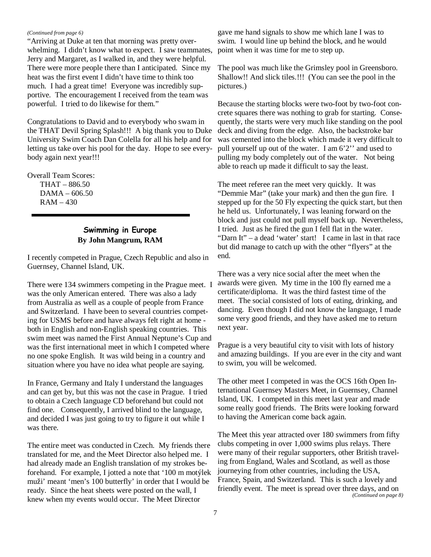#### *(Continued from page 6)*

"Arriving at Duke at ten that morning was pretty overwhelming. I didn't know what to expect. I saw teammates, Jerry and Margaret, as I walked in, and they were helpful. There were more people there than I anticipated. Since my heat was the first event I didn't have time to think too much. I had a great time! Everyone was incredibly supportive. The encouragement I received from the team was powerful. I tried to do likewise for them."

Congratulations to David and to everybody who swam in the THAT Devil Spring Splash!!! A big thank you to Duke University Swim Coach Dan Colella for all his help and for letting us take over his pool for the day. Hope to see everybody again next year!!!

Overall Team Scores:

THAT – 886.50 DAMA – 606.50 RAM – 430

## Swimming in Europe **By John Mangrum, RAM**

I recently competed in Prague, Czech Republic and also in Guernsey, Channel Island, UK.

There were 134 swimmers competing in the Prague meet. I was the only American entered. There was also a lady from Australia as well as a couple of people from France and Switzerland. I have been to several countries competing for USMS before and have always felt right at home both in English and non-English speaking countries. This swim meet was named the First Annual Neptune's Cup and was the first international meet in which I competed where no one spoke English. It was wild being in a country and situation where you have no idea what people are saying.

In France, Germany and Italy I understand the languages and can get by, but this was not the case in Prague. I tried to obtain a Czech language CD beforehand but could not find one. Consequently, I arrived blind to the language, and decided I was just going to try to figure it out while I was there.

The entire meet was conducted in Czech. My friends there translated for me, and the Meet Director also helped me. I had already made an English translation of my strokes beforehand. For example, I jotted a note that '100 m motýlek muži' meant 'men's 100 butterfly' in order that I would be ready. Since the heat sheets were posted on the wall, I knew when my events would occur. The Meet Director

gave me hand signals to show me which lane I was to swim. I would line up behind the block, and he would point when it was time for me to step up.

The pool was much like the Grimsley pool in Greensboro. Shallow!! And slick tiles.!!! (You can see the pool in the pictures.)

Because the starting blocks were two-foot by two-foot concrete squares there was nothing to grab for starting. Consequently, the starts were very much like standing on the pool deck and diving from the edge. Also, the backstroke bar was cemented into the block which made it very difficult to pull yourself up out of the water. I am 6'2'' and used to pulling my body completely out of the water. Not being able to reach up made it difficult to say the least.

The meet referee ran the meet very quickly. It was "Demmie Mar" (take your mark) and then the gun fire. I stepped up for the 50 Fly expecting the quick start, but then he held us. Unfortunately, I was leaning forward on the block and just could not pull myself back up. Nevertheless, I tried. Just as he fired the gun I fell flat in the water. "Darn It" – a dead 'water' start! I came in last in that race but did manage to catch up with the other "flyers" at the end.

There was a very nice social after the meet when the awards were given. My time in the 100 fly earned me a certificate/diploma. It was the third fastest time of the meet. The social consisted of lots of eating, drinking, and dancing. Even though I did not know the language, I made some very good friends, and they have asked me to return next year.

Prague is a very beautiful city to visit with lots of history and amazing buildings. If you are ever in the city and want to swim, you will be welcomed.

The other meet I competed in was the OCS 16th Open International Guernsey Masters Meet, in Guernsey, Channel Island, UK. I competed in this meet last year and made some really good friends. The Brits were looking forward to having the American come back again.

The Meet this year attracted over 180 swimmers from fifty clubs competing in over 1,000 swims plus relays. There were many of their regular supporters, other British traveling from England, Wales and Scotland, as well as those journeying from other countries, including the USA, France, Spain, and Switzerland. This is such a lovely and friendly event. The meet is spread over three days, and on *(Continued on page 8)*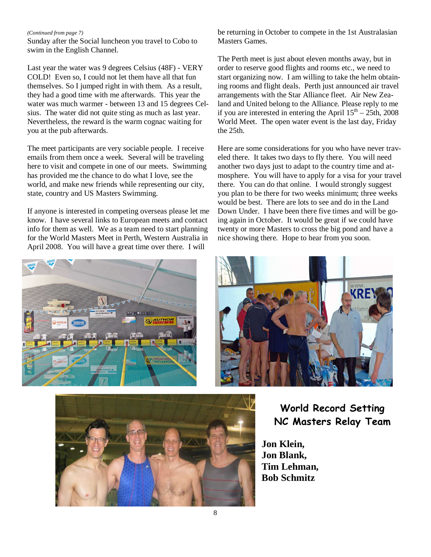#### *(Continued from page 7)*

Sunday after the Social luncheon you travel to Cobo to swim in the English Channel.

Last year the water was 9 degrees Celsius (48F) - VERY COLD! Even so, I could not let them have all that fun themselves. So I jumped right in with them. As a result, they had a good time with me afterwards. This year the water was much warmer - between 13 and 15 degrees Celsius. The water did not quite sting as much as last year. Nevertheless, the reward is the warm cognac waiting for you at the pub afterwards.

The meet participants are very sociable people. I receive emails from them once a week. Several will be traveling here to visit and compete in one of our meets. Swimming has provided me the chance to do what I love, see the world, and make new friends while representing our city, state, country and US Masters Swimming.

If anyone is interested in competing overseas please let me know. I have several links to European meets and contact info for them as well. We as a team need to start planning for the World Masters Meet in Perth, Western Australia in April 2008. You will have a great time over there. I will

be returning in October to compete in the 1st Australasian Masters Games.

The Perth meet is just about eleven months away, but in order to reserve good flights and rooms etc., we need to start organizing now. I am willing to take the helm obtaining rooms and flight deals. Perth just announced air travel arrangements with the Star Alliance fleet. Air New Zealand and United belong to the Alliance. Please reply to me if you are interested in entering the April  $15<sup>th</sup> - 25th$ , 2008 World Meet. The open water event is the last day, Friday the 25th.

Here are some considerations for you who have never traveled there. It takes two days to fly there. You will need another two days just to adapt to the country time and atmosphere. You will have to apply for a visa for your travel there. You can do that online. I would strongly suggest you plan to be there for two weeks minimum; three weeks would be best. There are lots to see and do in the Land Down Under. I have been there five times and will be going again in October. It would be great if we could have twenty or more Masters to cross the big pond and have a nice showing there. Hope to hear from you soon.





World Record Setting NC Masters Relay Team

**Jon Klein, Jon Blank, Tim Lehman, Bob Schmitz**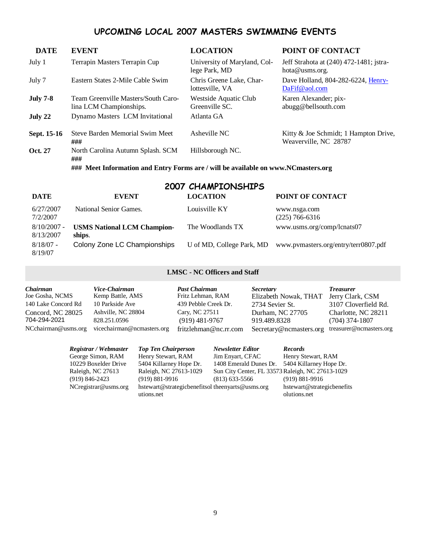# UPCOMING LOCAL 2007 MASTERS SWIMMING EVENTS

| <b>DATE</b>     | <b>EVENT</b>                                                                      | <b>LOCATION</b>                               | POINT OF CONTACT                                               |
|-----------------|-----------------------------------------------------------------------------------|-----------------------------------------------|----------------------------------------------------------------|
| July 1          | Terrapin Masters Terrapin Cup                                                     | University of Maryland, Col-<br>lege Park, MD | Jeff Strahota at (240) 472-1481; jstra-<br>hota@usms.org.      |
| July 7          | Eastern States 2-Mile Cable Swim                                                  | Chris Greene Lake, Char-<br>lottesville, VA   | Dave Holland, 804-282-6224, Henry-<br>DaFif@aol.com            |
| <b>July 7-8</b> | Team Greenville Masters/South Caro-<br>lina LCM Championships.                    | Westside Aquatic Club<br>Greenville SC.       | Karen Alexander; pix-<br>abugg@bellsouth.com                   |
| July 22         | Dynamo Masters LCM Invitational                                                   | Atlanta GA                                    |                                                                |
| Sept. 15-16     | Steve Barden Memorial Swim Meet<br>###                                            | Asheville NC                                  | Kitty & Joe Schmidt; 1 Hampton Drive,<br>Weaverville, NC 28787 |
| <b>Oct. 27</b>  | North Carolina Autumn Splash. SCM<br>###                                          | Hillsborough NC.                              |                                                                |
|                 | ### Meet Information and Entry Forms are / will be available on www.NCmasters.org |                                               |                                                                |

| 2007 CHAMPIONSHIPS         |                                              |                           |                                      |  |  |
|----------------------------|----------------------------------------------|---------------------------|--------------------------------------|--|--|
| <b>DATE</b>                | <b>EVENT</b>                                 | <b>LOCATION</b>           | POINT OF CONTACT                     |  |  |
| 6/27/2007<br>7/2/2007      | National Senior Games.                       | Louisville KY             | www.nsga.com<br>$(225)$ 766-6316     |  |  |
| $8/10/2007$ -<br>8/13/2007 | <b>USMS National LCM Champion-</b><br>ships. | The Woodlands TX          | www.usms.org/comp/lcnats07           |  |  |
| $8/18/07 -$<br>8/19/07     | Colony Zone LC Championships                 | U of MD, College Park, MD | www.pymasters.org/entry/terr0807.pdf |  |  |

## **LMSC - NC Officers and Staff**

| <b>Chairman</b><br>Vice-Chairman<br>Kemp Battle, AMS<br>Joe Gosha, NCMS<br>10 Parkside Ave<br>140 Lake Concord Rd<br>Ashville, NC 28804<br>Concord, NC 28025<br>828.251.0596<br>704-294-2021<br>NCchairman@usms.org<br>vicechairman@ncmasters.org | <b>Past Chairman</b><br>Fritz Lehman, RAM<br>439 Pebble Creek Dr.<br>Cary, NC 27511<br>$(919)$ 481-9767<br>fritzlehman@nc.rr.com | <i>Secretary</i><br>Elizabeth Nowak, THAT<br>2734 Sevier St.<br>Durham, NC 27705<br>919.489.8328<br>Secretary@ncmasters.org | <b>Treasurer</b><br>Jerry Clark, CSM<br>3107 Cloverfield Rd.<br>Charlotte, NC 28211<br>$(704)$ 374-1807<br>treasurer@ncmasters.org |
|---------------------------------------------------------------------------------------------------------------------------------------------------------------------------------------------------------------------------------------------------|----------------------------------------------------------------------------------------------------------------------------------|-----------------------------------------------------------------------------------------------------------------------------|------------------------------------------------------------------------------------------------------------------------------------|
|---------------------------------------------------------------------------------------------------------------------------------------------------------------------------------------------------------------------------------------------------|----------------------------------------------------------------------------------------------------------------------------------|-----------------------------------------------------------------------------------------------------------------------------|------------------------------------------------------------------------------------------------------------------------------------|

| Registrar / Webmaster   | <b>Top Ten Chairperson</b>                                      | <b>Newsletter Editor</b>                         | <b>Records</b>                             |
|-------------------------|-----------------------------------------------------------------|--------------------------------------------------|--------------------------------------------|
| George Simon, RAM       | Henry Stewart, RAM                                              | Jim Envart, CFAC                                 | Henry Stewart, RAM                         |
| 10229 Boxelder Drive    | 5404 Killarney Hope Dr.                                         | 1408 Emerald Dunes Dr. 5404 Killarney Hope Dr.   |                                            |
| Raleigh, NC 27613       | Raleigh, NC 27613-1029                                          | Sun City Center, FL 33573 Raleigh, NC 27613-1029 |                                            |
| $(919) 846 - 2423$      | $(919) 881 - 9916$                                              | $(813)$ 633-5566                                 | $(919) 881 - 9916$                         |
| $NC$ registrar@usms.org | hstewart@strategicbenefitsol the enyarts@usms.org<br>utions.net |                                                  | hstewart@strategicbenefits<br>olutions.net |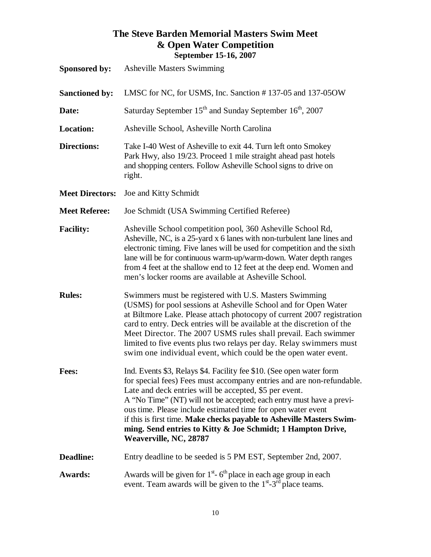# **The Steve Barden Memorial Masters Swim Meet & Open Water Competition September 15-16, 2007**

| <b>Sponsored by:</b>   | <b>Asheville Masters Swimming</b>                                                                                                                                                                                                                                                                                                                                                                                                                                                                                 |
|------------------------|-------------------------------------------------------------------------------------------------------------------------------------------------------------------------------------------------------------------------------------------------------------------------------------------------------------------------------------------------------------------------------------------------------------------------------------------------------------------------------------------------------------------|
|                        | LMSC for NC, for USMS, Inc. Sanction #137-05 and 137-050W                                                                                                                                                                                                                                                                                                                                                                                                                                                         |
| <b>Sanctioned by:</b>  |                                                                                                                                                                                                                                                                                                                                                                                                                                                                                                                   |
| Date:                  | Saturday September 15 <sup>th</sup> and Sunday September 16 <sup>th</sup> , 2007                                                                                                                                                                                                                                                                                                                                                                                                                                  |
| <b>Location:</b>       | Asheville School, Asheville North Carolina                                                                                                                                                                                                                                                                                                                                                                                                                                                                        |
| <b>Directions:</b>     | Take I-40 West of Asheville to exit 44. Turn left onto Smokey<br>Park Hwy, also 19/23. Proceed 1 mile straight ahead past hotels<br>and shopping centers. Follow Asheville School signs to drive on<br>right.                                                                                                                                                                                                                                                                                                     |
| <b>Meet Directors:</b> | Joe and Kitty Schmidt                                                                                                                                                                                                                                                                                                                                                                                                                                                                                             |
| <b>Meet Referee:</b>   | Joe Schmidt (USA Swimming Certified Referee)                                                                                                                                                                                                                                                                                                                                                                                                                                                                      |
| <b>Facility:</b>       | Asheville School competition pool, 360 Asheville School Rd,<br>Asheville, NC, is a 25-yard x 6 lanes with non-turbulent lane lines and<br>electronic timing. Five lanes will be used for competition and the sixth<br>lane will be for continuous warm-up/warm-down. Water depth ranges<br>from 4 feet at the shallow end to 12 feet at the deep end. Women and<br>men's locker rooms are available at Asheville School.                                                                                          |
| <b>Rules:</b>          | Swimmers must be registered with U.S. Masters Swimming<br>(USMS) for pool sessions at Asheville School and for Open Water<br>at Biltmore Lake. Please attach photocopy of current 2007 registration<br>card to entry. Deck entries will be available at the discretion of the<br>Meet Director. The 2007 USMS rules shall prevail. Each swimmer<br>limited to five events plus two relays per day. Relay swimmers must<br>swim one individual event, which could be the open water event.                         |
| <b>Fees:</b>           | Ind. Events \$3, Relays \$4. Facility fee \$10. (See open water form<br>for special fees) Fees must accompany entries and are non-refundable.<br>Late and deck entries will be accepted, \$5 per event.<br>A "No Time" (NT) will not be accepted; each entry must have a previ-<br>ous time. Please include estimated time for open water event<br>if this is first time. Make checks payable to Asheville Masters Swim-<br>ming. Send entries to Kitty & Joe Schmidt; 1 Hampton Drive,<br>Weaverville, NC, 28787 |
| Deadline:              | Entry deadline to be seeded is 5 PM EST, September 2nd, 2007.                                                                                                                                                                                                                                                                                                                                                                                                                                                     |
| <b>Awards:</b>         | Awards will be given for $1st$ - 6 <sup>th</sup> place in each age group in each<br>event. Team awards will be given to the $1st - 3rd$ place teams.                                                                                                                                                                                                                                                                                                                                                              |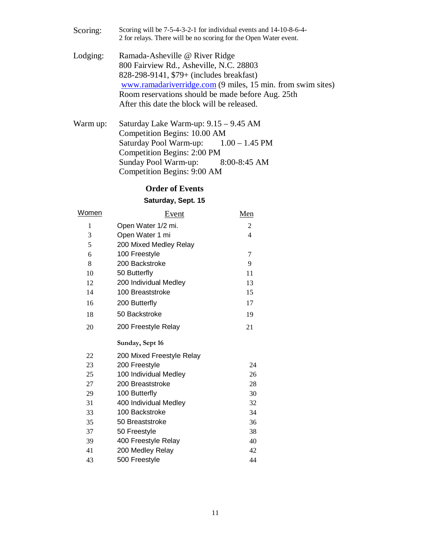Scoring: Scoring will be 7-5-4-3-2-1 for individual events and 14-10-8-6-4- 2 for relays. There will be no scoring for the Open Water event.

- Lodging: Ramada-Asheville @ River Ridge 800 Fairview Rd., Asheville, N.C. 28803 828-298-9141, \$79+ (includes breakfast) www.ramadariverridge.com (9 miles, 15 min. from swim sites) Room reservations should be made before Aug. 25th After this date the block will be released.
- Warm up: Saturday Lake Warm-up: 9.15 9.45 AM Competition Begins: 10.00 AM Saturday Pool Warm-up: 1.00 – 1.45 PM Competition Begins: 2:00 PM Sunday Pool Warm-up: 8:00-8:45 AM Competition Begins: 9:00 AM

#### **Order of Events**

#### **Saturday, Sept. 15**

| <u>Women</u> | <u>Event</u>              | Men            |
|--------------|---------------------------|----------------|
| 1            | Open Water 1/2 mi.        | $\overline{c}$ |
| 3            | Open Water 1 mi           | 4              |
| 5            | 200 Mixed Medley Relay    |                |
| 6            | 100 Freestyle             | 7              |
| 8            | 200 Backstroke            | 9              |
| 10           | 50 Butterfly              | 11             |
| 12           | 200 Individual Medley     | 13             |
| 14           | 100 Breaststroke          | 15             |
| 16           | 200 Butterfly             | 17             |
| 18           | 50 Backstroke             | 19             |
| 20           | 200 Freestyle Relay       | 21             |
|              | Sunday, Sept 16           |                |
| 22           | 200 Mixed Freestyle Relay |                |
| 23           | 200 Freestyle             | 24             |
| 25           | 100 Individual Medley     | 26             |
| 27           | 200 Breaststroke          | 28             |
| 29           | 100 Butterfly             | 30             |
| 31           | 400 Individual Medley     | 32             |
| 33           | 100 Backstroke            | 34             |
| 35           | 50 Breaststroke           | 36             |
| 37           | 50 Freestyle              | 38             |
| 39           | 400 Freestyle Relay       | 40             |
| 41           | 200 Medley Relay          | 42             |
| 43           | 500 Freestyle             | 44             |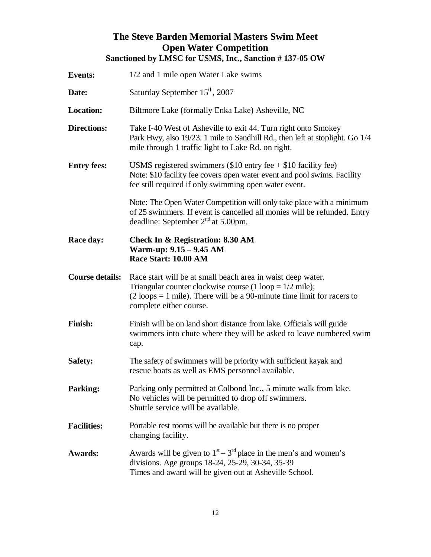# **The Steve Barden Memorial Masters Swim Meet Open Water Competition Sanctioned by LMSC for USMS, Inc., Sanction # 137-05 OW**

| <b>Events:</b>         | 1/2 and 1 mile open Water Lake swims                                                                                                                                                                                                              |
|------------------------|---------------------------------------------------------------------------------------------------------------------------------------------------------------------------------------------------------------------------------------------------|
| Date:                  | Saturday September 15 <sup>th</sup> , 2007                                                                                                                                                                                                        |
| <b>Location:</b>       | Biltmore Lake (formally Enka Lake) Asheville, NC                                                                                                                                                                                                  |
| <b>Directions:</b>     | Take I-40 West of Asheville to exit 44. Turn right onto Smokey<br>Park Hwy, also 19/23. 1 mile to Sandhill Rd., then left at stoplight. Go 1/4<br>mile through 1 traffic light to Lake Rd. on right.                                              |
| <b>Entry fees:</b>     | USMS registered swimmers $(\$10$ entry fee + $\$10$ facility fee)<br>Note: \$10 facility fee covers open water event and pool swims. Facility<br>fee still required if only swimming open water event.                                            |
|                        | Note: The Open Water Competition will only take place with a minimum<br>of 25 swimmers. If event is cancelled all monies will be refunded. Entry<br>deadline: September $2nd$ at 5.00pm.                                                          |
| Race day:              | <b>Check In &amp; Registration: 8.30 AM</b><br>Warm-up: 9.15 - 9.45 AM<br>Race Start: 10.00 AM                                                                                                                                                    |
| <b>Course details:</b> | Race start will be at small beach area in waist deep water.<br>Triangular counter clockwise course (1 loop = $1/2$ mile);<br>$(2 \text{ loops} = 1 \text{ mile})$ . There will be a 90-minute time limit for racers to<br>complete either course. |
| <b>Finish:</b>         | Finish will be on land short distance from lake. Officials will guide<br>swimmers into chute where they will be asked to leave numbered swim<br>cap.                                                                                              |
| <b>Safety:</b>         | The safety of swimmers will be priority with sufficient kayak and<br>rescue boats as well as EMS personnel available.                                                                                                                             |
| <b>Parking:</b>        | Parking only permitted at Colbond Inc., 5 minute walk from lake.<br>No vehicles will be permitted to drop off swimmers.<br>Shuttle service will be available.                                                                                     |
| <b>Facilities:</b>     | Portable rest rooms will be available but there is no proper<br>changing facility.                                                                                                                                                                |
| <b>Awards:</b>         | Awards will be given to $1st - 3rd$ place in the men's and women's<br>divisions. Age groups 18-24, 25-29, 30-34, 35-39<br>Times and award will be given out at Asheville School.                                                                  |